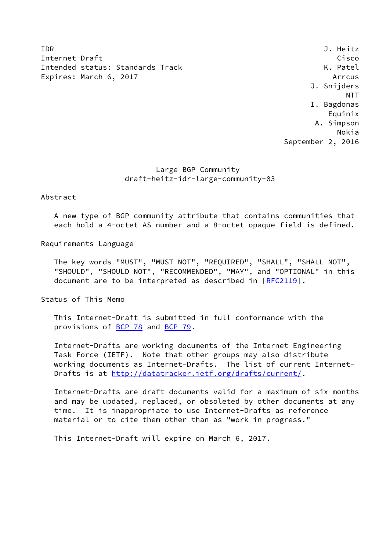IDR J. Heitz Internet-Draft Cisco Intended status: Standards Track K. Patel Expires: March 6, 2017 **Arrous** Arrow Arrow

 J. Snijders NTT I. Bagdonas Equinix A. Simpson Nokia September 2, 2016

## Large BGP Community draft-heitz-idr-large-community-03

Abstract

 A new type of BGP community attribute that contains communities that each hold a 4-octet AS number and a 8-octet opaque field is defined.

Requirements Language

 The key words "MUST", "MUST NOT", "REQUIRED", "SHALL", "SHALL NOT", "SHOULD", "SHOULD NOT", "RECOMMENDED", "MAY", and "OPTIONAL" in this document are to be interpreted as described in [\[RFC2119](https://datatracker.ietf.org/doc/pdf/rfc2119)].

Status of This Memo

 This Internet-Draft is submitted in full conformance with the provisions of [BCP 78](https://datatracker.ietf.org/doc/pdf/bcp78) and [BCP 79](https://datatracker.ietf.org/doc/pdf/bcp79).

 Internet-Drafts are working documents of the Internet Engineering Task Force (IETF). Note that other groups may also distribute working documents as Internet-Drafts. The list of current Internet- Drafts is at<http://datatracker.ietf.org/drafts/current/>.

 Internet-Drafts are draft documents valid for a maximum of six months and may be updated, replaced, or obsoleted by other documents at any time. It is inappropriate to use Internet-Drafts as reference material or to cite them other than as "work in progress."

This Internet-Draft will expire on March 6, 2017.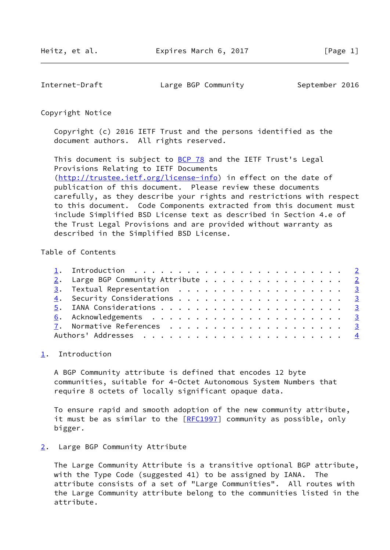<span id="page-1-1"></span>Internet-Draft Large BGP Community September 2016

Copyright Notice

 Copyright (c) 2016 IETF Trust and the persons identified as the document authors. All rights reserved.

This document is subject to **[BCP 78](https://datatracker.ietf.org/doc/pdf/bcp78)** and the IETF Trust's Legal Provisions Relating to IETF Documents [\(http://trustee.ietf.org/license-info](http://trustee.ietf.org/license-info)) in effect on the date of publication of this document. Please review these documents carefully, as they describe your rights and restrictions with respect to this document. Code Components extracted from this document must include Simplified BSD License text as described in Section 4.e of the Trust Legal Provisions and are provided without warranty as described in the Simplified BSD License.

## Table of Contents

|  | 2. Large BGP Community Attribute 2 |  |
|--|------------------------------------|--|
|  |                                    |  |
|  |                                    |  |
|  |                                    |  |
|  |                                    |  |
|  |                                    |  |
|  |                                    |  |

## <span id="page-1-0"></span>[1](#page-1-0). Introduction

 A BGP Community attribute is defined that encodes 12 byte communities, suitable for 4-Octet Autonomous System Numbers that require 8 octets of locally significant opaque data.

 To ensure rapid and smooth adoption of the new community attribute, it must be as similar to the [\[RFC1997](https://datatracker.ietf.org/doc/pdf/rfc1997)] community as possible, only bigger.

## <span id="page-1-2"></span>[2](#page-1-2). Large BGP Community Attribute

 The Large Community Attribute is a transitive optional BGP attribute, with the Type Code (suggested 41) to be assigned by IANA. The attribute consists of a set of "Large Communities". All routes with the Large Community attribute belong to the communities listed in the attribute.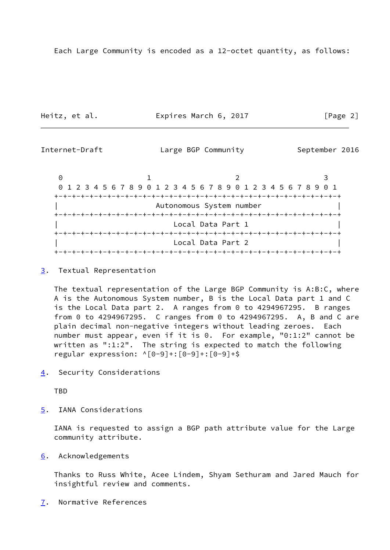Heitz, et al. **Expires March 6, 2017** [Page 2]

<span id="page-2-1"></span>Internet-Draft **Large BGP Community** September 2016

|  |                          | 0 1 2 3 4 5 6 7 8 9 0 1 2 3 4 5 6 7 8 9 0 1 2 3 4 5 6 7 8 9 0 1 |  |  |  |  |  |  |
|--|--------------------------|-----------------------------------------------------------------|--|--|--|--|--|--|
|  |                          |                                                                 |  |  |  |  |  |  |
|  | Autonomous System number |                                                                 |  |  |  |  |  |  |
|  |                          |                                                                 |  |  |  |  |  |  |
|  | Local Data Part 1        |                                                                 |  |  |  |  |  |  |
|  |                          |                                                                 |  |  |  |  |  |  |
|  |                          | Local Data Part 2                                               |  |  |  |  |  |  |
|  |                          |                                                                 |  |  |  |  |  |  |

<span id="page-2-0"></span>[3](#page-2-0). Textual Representation

 The textual representation of the Large BGP Community is A:B:C, where A is the Autonomous System number, B is the Local Data part 1 and C is the Local Data part 2. A ranges from 0 to 4294967295. B ranges from 0 to 4294967295. C ranges from 0 to 4294967295. A, B and C are plain decimal non-negative integers without leading zeroes. Each number must appear, even if it is 0. For example, "0:1:2" cannot be written as ":1:2". The string is expected to match the following regular expression:  $^{6}$ [0-9]+:[0-9]+:[0-9]+\$

<span id="page-2-2"></span>[4](#page-2-2). Security Considerations

TBD

<span id="page-2-3"></span>[5](#page-2-3). IANA Considerations

 IANA is requested to assign a BGP path attribute value for the Large community attribute.

<span id="page-2-4"></span>[6](#page-2-4). Acknowledgements

 Thanks to Russ White, Acee Lindem, Shyam Sethuram and Jared Mauch for insightful review and comments.

<span id="page-2-5"></span>[7](#page-2-5). Normative References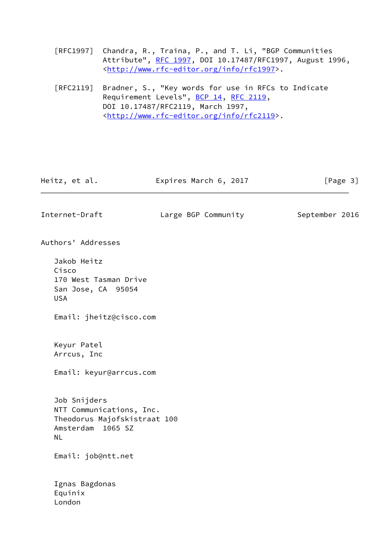[RFC1997] Chandra, R., Traina, P., and T. Li, "BGP Communities Attribute", [RFC 1997,](https://datatracker.ietf.org/doc/pdf/rfc1997) DOI 10.17487/RFC1997, August 1996, <<http://www.rfc-editor.org/info/rfc1997>>.

 [RFC2119] Bradner, S., "Key words for use in RFCs to Indicate Requirement Levels", [BCP 14](https://datatracker.ietf.org/doc/pdf/bcp14), [RFC 2119](https://datatracker.ietf.org/doc/pdf/rfc2119), DOI 10.17487/RFC2119, March 1997, <<http://www.rfc-editor.org/info/rfc2119>>.

<span id="page-3-0"></span>

| Heitz, et al.                                                                                       | Expires March 6, 2017 | [Page 3]       |
|-----------------------------------------------------------------------------------------------------|-----------------------|----------------|
| Internet-Draft                                                                                      | Large BGP Community   | September 2016 |
| Authors' Addresses                                                                                  |                       |                |
| Jakob Heitz<br>Cisco<br>170 West Tasman Drive<br>San Jose, CA 95054<br><b>USA</b>                   |                       |                |
| Email: jheitz@cisco.com                                                                             |                       |                |
| Keyur Patel<br>Arrcus, Inc<br>Email: keyur@arrcus.com                                               |                       |                |
| Job Snijders<br>NTT Communications, Inc.<br>Theodorus Majofskistraat 100<br>Amsterdam 1065 SZ<br>NL |                       |                |
| Email: job@ntt.net                                                                                  |                       |                |
| Ignas Bagdonas<br>Equinix<br>London                                                                 |                       |                |